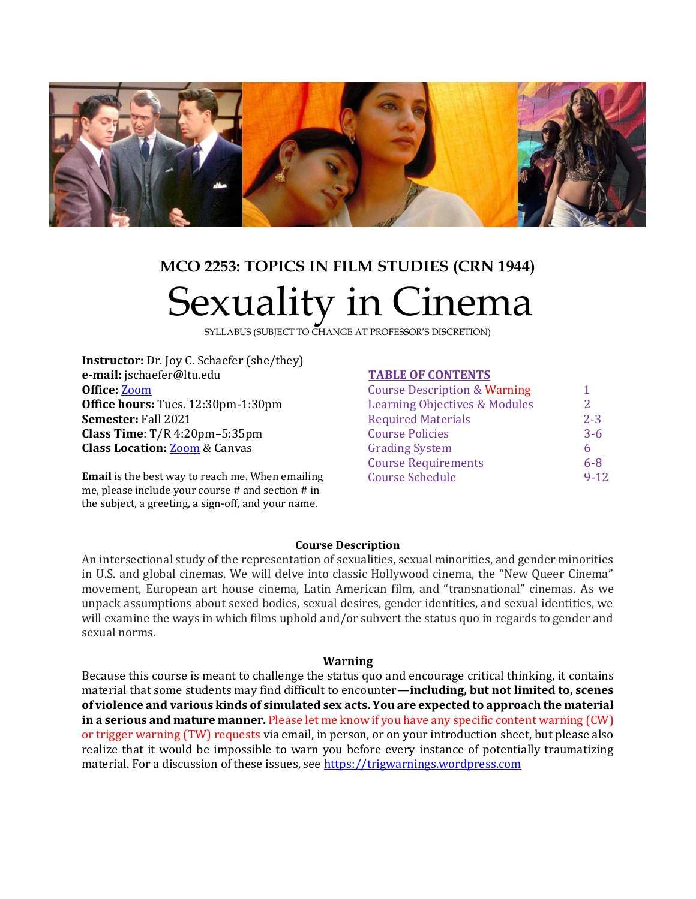

# **MCO 2253: TOPICS IN FILM STUDIES (CRN 1944)** Sexuality in Cinema

SYLLABUS (SUBJECT TO CHANGE AT PROFESSOR'S DISCRETION)

**Instructor:** Dr. Joy C. Schaefer (she/they) **e-mail:** jschaefer@ltu.edu **Office:** [Zoom](https://ltu.zoom.us/j/6482056821?pwd=MW5MMDUzSHJTVDJzcVM3T25DVjhjZz09) **Office hours:** Tues. 12:30pm-1:30pm **Semester:** Fall 2021 **Class Time**: T/R 4:20pm–5:35pm **Class Location:** [Zoom](https://ltu.zoom.us/j/96384412572?pwd=TXhNQkpVZEFiWFk0OEdzVUFaNXlQZz09) & Canvas

**Email** is the best way to reach me. When emailing me, please include your course # and section # in the subject, a greeting, a sign-off, and your name.

## **TABLE OF CONTENTS**

| <b>Course Description &amp; Warning</b>  | 1        |
|------------------------------------------|----------|
| <b>Learning Objectives &amp; Modules</b> | 2        |
| <b>Required Materials</b>                | $2 - 3$  |
| <b>Course Policies</b>                   | $3 - 6$  |
| <b>Grading System</b>                    | 6        |
| <b>Course Requirements</b>               | $6-8$    |
| <b>Course Schedule</b>                   | $9 - 12$ |
|                                          |          |

#### **Course Description**

An intersectional study of the representation of sexualities, sexual minorities, and gender minorities in U.S. and global cinemas. We will delve into classic Hollywood cinema, the "New Queer Cinema" movement, European art house cinema, Latin American film, and "transnational" cinemas. As we unpack assumptions about sexed bodies, sexual desires, gender identities, and sexual identities, we will examine the ways in which films uphold and/or subvert the status quo in regards to gender and sexual norms.

#### **Warning**

Because this course is meant to challenge the status quo and encourage critical thinking, it contains material that some students may find difficult to encounter—**including, but not limited to, scenes of violence and various kinds of simulated sex acts. You are expected to approach the material in a serious and mature manner.** Please let me know if you have any specific content warning (CW) or trigger warning (TW) requests via email, in person, or on your introduction sheet, but please also realize that it would be impossible to warn you before every instance of potentially traumatizing material. For a discussion of these issues, see [https://trigwarnings.wordpress.com](https://trigwarnings.wordpress.com/)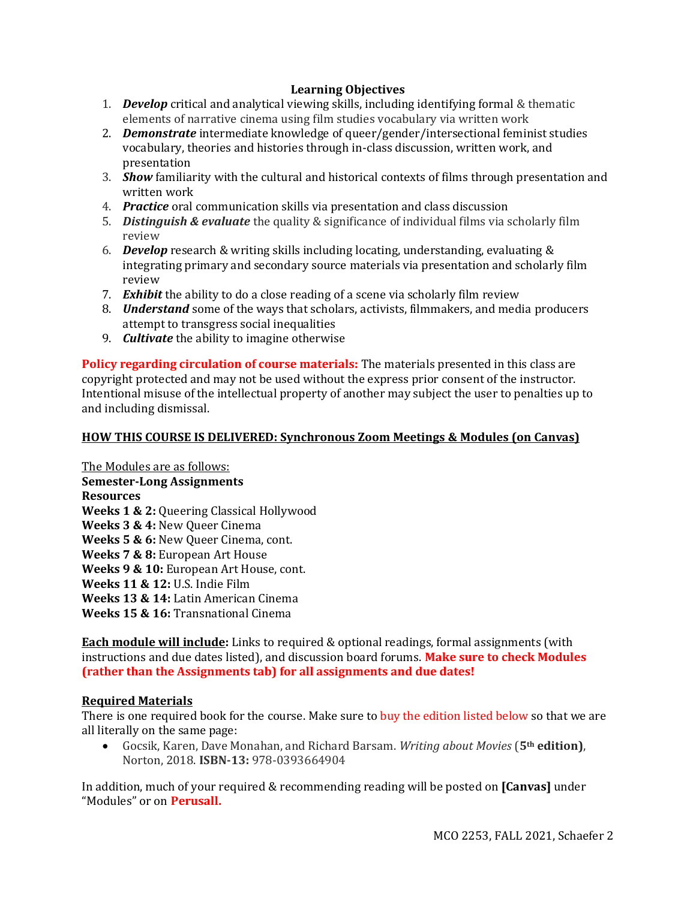## **Learning Objectives**

- 1. *Develop* critical and analytical viewing skills, including identifying formal & thematic elements of narrative cinema using film studies vocabulary via written work
- 2. *Demonstrate* intermediate knowledge of queer/gender/intersectional feminist studies vocabulary, theories and histories through in-class discussion, written work, and presentation
- 3. *Show* familiarity with the cultural and historical contexts of films through presentation and written work
- 4. *Practice* oral communication skills via presentation and class discussion
- 5. *Distinguish & evaluate* the quality & significance of individual films via scholarly film review
- 6. *Develop* research & writing skills including locating, understanding, evaluating & integrating primary and secondary source materials via presentation and scholarly film review
- 7. *Exhibit* the ability to do a close reading of a scene via scholarly film review
- 8. *Understand* some of the ways that scholars, activists, filmmakers, and media producers attempt to transgress social inequalities
- 9. *Cultivate* the ability to imagine otherwise

**Policy regarding circulation of course materials:** The materials presented in this class are copyright protected and may not be used without the express prior consent of the instructor. Intentional misuse of the intellectual property of another may subject the user to penalties up to and including dismissal.

## **HOW THIS COURSE IS DELIVERED: Synchronous Zoom Meetings & Modules (on Canvas)**

The Modules are as follows: **Semester-Long Assignments Resources Weeks 1 & 2:** Queering Classical Hollywood **Weeks 3 & 4:** New Queer Cinema **Weeks 5 & 6:** New Queer Cinema, cont. **Weeks 7 & 8:** European Art House **Weeks 9 & 10:** European Art House, cont. **Weeks 11 & 12:** U.S. Indie Film **Weeks 13 & 14:** Latin American Cinema **Weeks 15 & 16:** Transnational Cinema

**Each module will include:** Links to required & optional readings, formal assignments (with instructions and due dates listed), and discussion board forums. **Make sure to check Modules (rather than the Assignments tab) for all assignments and due dates!** 

### **Required Materials**

There is one required book for the course. Make sure to buy the edition listed below so that we are all literally on the same page:

• Gocsik, Karen, Dave Monahan, and Richard Barsam. *Writing about Movies* (**5th edition)**, Norton, 2018. **ISBN-13:** 978-0393664904

In addition, much of your required & recommending reading will be posted on **[Canvas]** under "Modules" or on **Perusall.**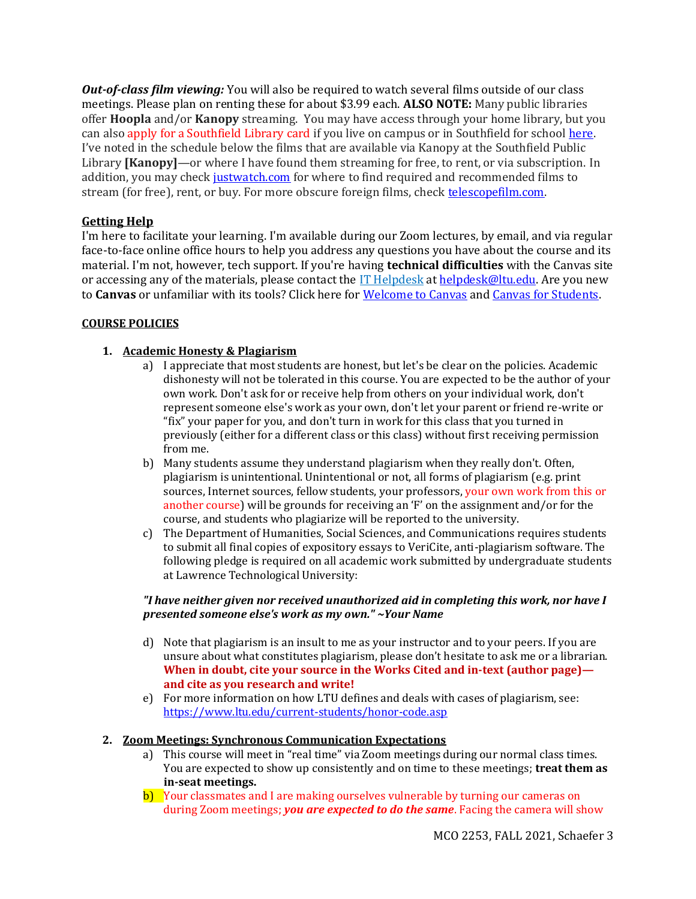*Out-of-class film viewing:* You will also be required to watch several films outside of our class meetings. Please plan on renting these for about \$3.99 each. **ALSO NOTE:** Many public libraries offer **Hoopla** and/or **Kanopy** streaming. You may have access through your home library, but you can also apply for a Southfield Library card if you live on campus or in Southfield for school [here.](https://southfieldlibrary.org/services/virtual/eresources-card/eresources-card-attend-school-in-southfield-or-lathrup-village/) I've noted in the schedule below the films that are available via Kanopy at the Southfield Public Library **[Kanopy]**—or where I have found them streaming for free, to rent, or via subscription. In addition, you may check [justwatch.com](http://justwatch.com/) for where to find required and recommended films to stream (for free), rent, or buy. For more obscure foreign films, check [telescopefilm.com.](http://telescopefilm.com/)

## **Getting Help**

I'm here to facilitate your learning. I'm available during our Zoom lectures, by email, and via regular face-to-face online office hours to help you address any questions you have about the course and its material. I'm not, however, tech support. If you're having **technical difficulties** with the Canvas site or accessing any of the materials, please contact the [IT Helpdesk](https://www.ltu.edu/ehelp/contact-us.asp) a[t helpdesk@ltu.edu.](mailto:helpdesk@ltu.edu) Are you new to **Canvas** or unfamiliar with its tools? Click here for [Welcome to Canvas](https://www.ltu.edu/ehelp/canvas.asp) and [Canvas for Students.](https://www.ltu.edu/ehelp/canvas-for-students.asp)

### **COURSE POLICIES**

## **1. Academic Honesty & Plagiarism**

- a) I appreciate that most students are honest, but let's be clear on the policies. Academic dishonesty will not be tolerated in this course. You are expected to be the author of your own work. Don't ask for or receive help from others on your individual work, don't represent someone else's work as your own, don't let your parent or friend re-write or "fix" your paper for you, and don't turn in work for this class that you turned in previously (either for a different class or this class) without first receiving permission from me.
- b) Many students assume they understand plagiarism when they really don't. Often, plagiarism is unintentional. Unintentional or not, all forms of plagiarism (e.g. print sources, Internet sources, fellow students, your professors, your own work from this or another course) will be grounds for receiving an 'F' on the assignment and/or for the course, and students who plagiarize will be reported to the university.
- c) The Department of Humanities, Social Sciences, and Communications requires students to submit all final copies of expository essays to VeriCite, anti-plagiarism software. The following pledge is required on all academic work submitted by undergraduate students at Lawrence Technological University:

### *"I have neither given nor received unauthorized aid in completing this work, nor have I presented someone else's work as my own." ~Your Name*

- d) Note that plagiarism is an insult to me as your instructor and to your peers. If you are unsure about what constitutes plagiarism, please don't hesitate to ask me or a librarian. **When in doubt, cite your source in the Works Cited and in-text (author page) and cite as you research and write!**
- e) For more information on how LTU defines and deals with cases of plagiarism, see: <https://www.ltu.edu/current-students/honor-code.asp>

### **2. Zoom Meetings: Synchronous Communication Expectations**

- a) This course will meet in "real time" via Zoom meetings during our normal class times. You are expected to show up consistently and on time to these meetings; **treat them as in-seat meetings.**
- b) Your classmates and I are making ourselves vulnerable by turning our cameras on during Zoom meetings; *you are expected to do the same*. Facing the camera will show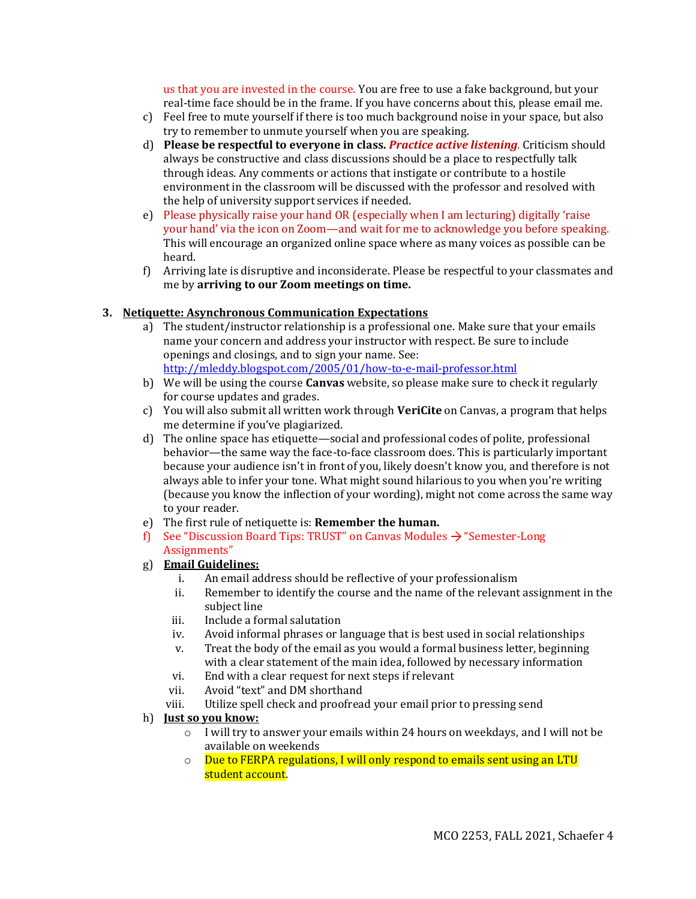us that you are invested in the course. You are free to use a fake background, but your real-time face should be in the frame. If you have concerns about this, please email me.

- c) Feel free to mute yourself if there is too much background noise in your space, but also try to remember to unmute yourself when you are speaking.
- d) **Please be respectful to everyone in class.** *Practice active listening.* Criticism should always be constructive and class discussions should be a place to respectfully talk through ideas. Any comments or actions that instigate or contribute to a hostile environment in the classroom will be discussed with the professor and resolved with the help of university support services if needed.
- e) Please physically raise your hand OR (especially when I am lecturing) digitally 'raise your hand' via the icon on Zoom—and wait for me to acknowledge you before speaking. This will encourage an organized online space where as many voices as possible can be heard.
- f) Arriving late is disruptive and inconsiderate. Please be respectful to your classmates and me by **arriving to our Zoom meetings on time.**

## **3. Netiquette: Asynchronous Communication Expectations**

- a) The student/instructor relationship is a professional one. Make sure that your emails name your concern and address your instructor with respect. Be sure to include openings and closings, and to sign your name. See: <http://mleddy.blogspot.com/2005/01/how-to-e-mail-professor.html>
- b) We will be using the course **Canvas** website, so please make sure to check it regularly for course updates and grades.
- c) You will also submit all written work through **VeriCite** on Canvas, a program that helps me determine if you've plagiarized.
- d) The online space has etiquette—social and professional codes of polite, professional behavior—the same way the face-to-face classroom does. This is particularly important because your audience isn't in front of you, likely doesn't know you, and therefore is not always able to infer your tone. What might sound hilarious to you when you're writing (because you know the inflection of your wording), might not come across the same way to your reader.
- e) The first rule of netiquette is: **Remember the human.**
- f) See "Discussion Board Tips: TRUST" on Canvas Modules  $\rightarrow$  "Semester-Long" Assignments"
- g) **Email Guidelines:**
	- i. An email address should be reflective of your professionalism
	- ii. Remember to identify the course and the name of the relevant assignment in the subject line
	- iii. Include a formal salutation
	- iv. Avoid informal phrases or language that is best used in social relationships
	- v. Treat the body of the email as you would a formal business letter, beginning with a clear statement of the main idea, followed by necessary information
	- vi. End with a clear request for next steps if relevant
	- vii. Avoid "text" and DM shorthand
	- viii. Utilize spell check and proofread your email prior to pressing send
- h) **Just so you know:** 
	- o I will try to answer your emails within 24 hours on weekdays, and I will not be available on weekends
	- o Due to FERPA regulations, I will only respond to emails sent using an LTU student account.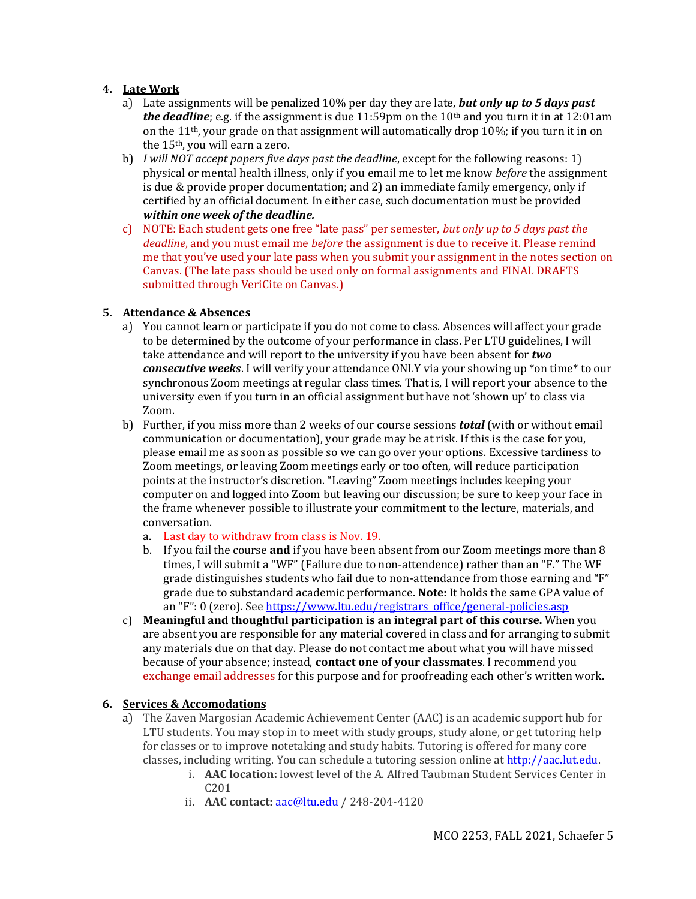## **4. Late Work**

- a) Late assignments will be penalized 10% per day they are late, *but only up to 5 days past the deadline*; e.g. if the assignment is due 11:59pm on the  $10<sup>th</sup>$  and you turn it in at 12:01am on the 11th, your grade on that assignment will automatically drop 10%; if you turn it in on the 15th, you will earn a zero.
- b) *I will NOT accept papers five days past the deadline*, except for the following reasons: 1) physical or mental health illness, only if you email me to let me know *before* the assignment is due & provide proper documentation; and 2) an immediate family emergency, only if certified by an official document. In either case, such documentation must be provided *within one week of the deadline.*
- c) NOTE: Each student gets one free "late pass" per semester, *but only up to 5 days past the deadline*, and you must email me *before* the assignment is due to receive it. Please remind me that you've used your late pass when you submit your assignment in the notes section on Canvas. (The late pass should be used only on formal assignments and FINAL DRAFTS submitted through VeriCite on Canvas.)

## **5. Attendance & Absences**

- a) You cannot learn or participate if you do not come to class. Absences will affect your grade to be determined by the outcome of your performance in class. Per LTU guidelines, I will take attendance and will report to the university if you have been absent for *two consecutive weeks*. I will verify your attendance ONLY via your showing up \*on time\* to our synchronous Zoom meetings at regular class times. That is, I will report your absence to the university even if you turn in an official assignment but have not 'shown up' to class via Zoom.
- b) Further, if you miss more than 2 weeks of our course sessions *total* (with or without email communication or documentation), your grade may be at risk. If this is the case for you, please email me as soon as possible so we can go over your options. Excessive tardiness to Zoom meetings, or leaving Zoom meetings early or too often, will reduce participation points at the instructor's discretion. "Leaving" Zoom meetings includes keeping your computer on and logged into Zoom but leaving our discussion; be sure to keep your face in the frame whenever possible to illustrate your commitment to the lecture, materials, and conversation.
	- a. Last day to withdraw from class is Nov. 19.
	- b. If you fail the course **and** if you have been absent from our Zoom meetings more than 8 times, I will submit a "WF" (Failure due to non-attendence) rather than an "F." The WF grade distinguishes students who fail due to non-attendance from those earning and "F" grade due to substandard academic performance. **Note:** It holds the same GPA value of an "F": 0 (zero). See [https://www.ltu.edu/registrars\\_office/general-policies.asp](https://www.ltu.edu/registrars_office/general-policies.asp)
- c) **Meaningful and thoughtful participation is an integral part of this course.** When you are absent you are responsible for any material covered in class and for arranging to submit any materials due on that day. Please do not contact me about what you will have missed because of your absence; instead, **contact one of your classmates**. I recommend you exchange email addresses for this purpose and for proofreading each other's written work.

### **6. Services & Accomodations**

- a) The Zaven Margosian Academic Achievement Center (AAC) is an academic support hub for LTU students. You may stop in to meet with study groups, study alone, or get tutoring help for classes or to improve notetaking and study habits. Tutoring is offered for many core classes, including writing. You can schedule a tutoring session online at [http://aac.lut.edu.](http://aac.lut.edu/)
	- i. **AAC location:** lowest level of the A. Alfred Taubman Student Services Center in C201
	- ii. **AAC contact:** [aac@ltu.edu](mailto:aac@ltu.edu) / 248-204-4120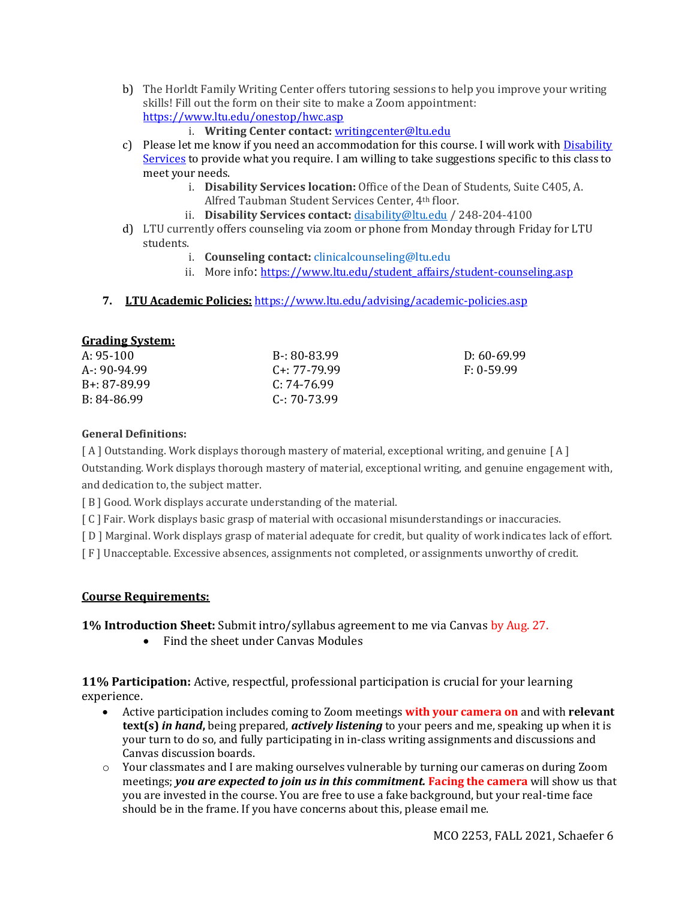- b) The Horldt Family Writing Center offers tutoring sessions to help you improve your writing skills! Fill out the form on their site to make a Zoom appointment: <https://www.ltu.edu/onestop/hwc.asp>
	- i. **Writing Center contact:** [writingcenter@ltu.edu](mailto:writingcenter@ltu.edu)
- c) Please let me know if you need an accommodation for this course. I will work with [Disability](https://www.ltu.edu/current-students/disability.asp)  [Services](https://www.ltu.edu/current-students/disability.asp) to provide what you require. I am willing to take suggestions specific to this class to meet your needs.
	- i. **Disability Services location:** Office of the Dean of Students, Suite C405, A. Alfred Taubman Student Services Center, 4th floor.
	- ii. **Disability Services contact:** [disability@ltu.edu](mailto:disability@ltu.edu) / 248-204-4100
- d) LTU currently offers counseling via zoom or phone from Monday through Friday for LTU students.
	- i. **Counseling contact:** [clinicalcounseling@ltu.edu](mailto:clinicalcounseling@ltu.edu)
	- ii. More info: [https://www.ltu.edu/student\\_affairs/student-counseling.asp](https://www.ltu.edu/student_affairs/student-counseling.asp)
- **7. LTU Academic Policies:** <https://www.ltu.edu/advising/academic-policies.asp>

## **Grading System:**

| A: $95-100$  | B-: 80-83.99      | D: 60-69.99  |
|--------------|-------------------|--------------|
| A-: 90-94.99 | $C_{1}: 77-79.99$ | $F: 0-59.99$ |
| B+: 87-89.99 | $C: 74-76.99$     |              |
| B: 84-86.99  | $C - 70-73.99$    |              |
|              |                   |              |

## **General Definitions:**

[A] Outstanding. Work displays thorough mastery of material, exceptional writing, and genuine [A] Outstanding. Work displays thorough mastery of material, exceptional writing, and genuine engagement with, and dedication to, the subject matter.

[ B ] Good. Work displays accurate understanding of the material.

[ C ] Fair. Work displays basic grasp of material with occasional misunderstandings or inaccuracies.

[ D ] Marginal. Work displays grasp of material adequate for credit, but quality of work indicates lack of effort.

[ F ] Unacceptable. Excessive absences, assignments not completed, or assignments unworthy of credit.

## **Course Requirements:**

**1% Introduction Sheet:** Submit intro/syllabus agreement to me via Canvas by Aug. 27.

• Find the sheet under Canvas Modules

**11% Participation:** Active, respectful, professional participation is crucial for your learning experience.

- Active participation includes coming to Zoom meetings **with your camera on** and with **relevant text(s)** *in hand***,** being prepared, *actively listening* to your peers and me, speaking up when it is your turn to do so, and fully participating in in-class writing assignments and discussions and Canvas discussion boards.
- o Your classmates and I are making ourselves vulnerable by turning our cameras on during Zoom meetings; *you are expected to join us in this commitment.* **Facing the camera** will show us that you are invested in the course. You are free to use a fake background, but your real-time face should be in the frame. If you have concerns about this, please email me.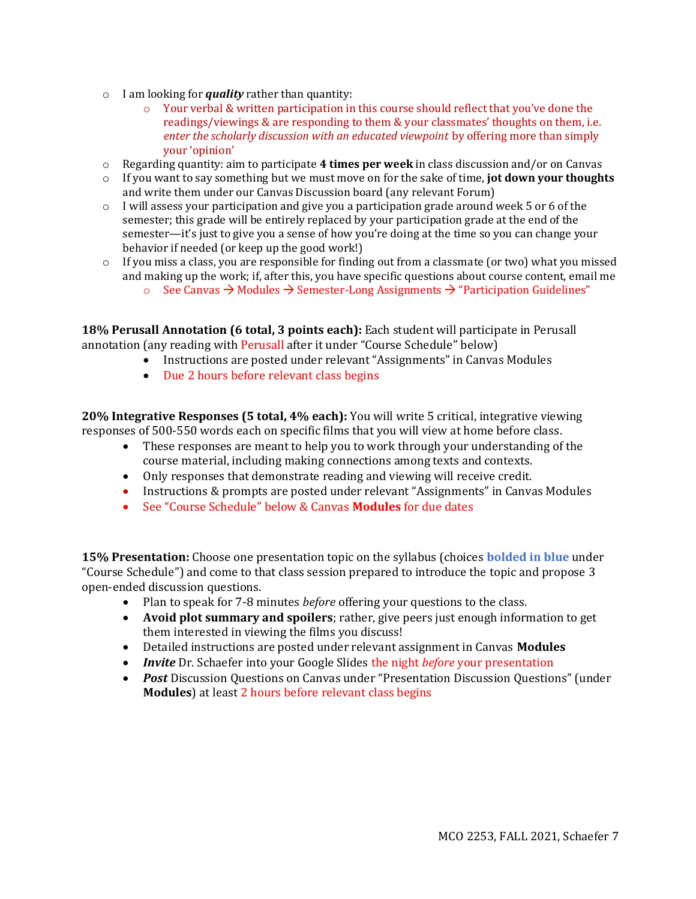- o I am looking for *quality* rather than quantity:
	- o Your verbal & written participation in this course should reflect that you've done the readings/viewings & are responding to them & your classmates' thoughts on them, i.e. *enter the scholarly discussion with an educated viewpoint* by offering more than simply your 'opinion'
- o Regarding quantity: aim to participate **4 times per week** in class discussion and/or on Canvas
- o If you want to say something but we must move on for the sake of time, **jot down your thoughts**  and write them under our Canvas Discussion board (any relevant Forum)
- $\circ$  I will assess your participation and give you a participation grade around week 5 or 6 of the semester; this grade will be entirely replaced by your participation grade at the end of the semester—it's just to give you a sense of how you're doing at the time so you can change your behavior if needed (or keep up the good work!)
- o If you miss a class, you are responsible for finding out from a classmate (or two) what you missed and making up the work; if, after this, you have specific questions about course content, email me
	- $\circ$  See Canvas  $\rightarrow$  Modules  $\rightarrow$  Semester-Long Assignments  $\rightarrow$  "Participation Guidelines"

**18% Perusall Annotation (6 total, 3 points each):** Each student will participate in Perusall annotation (any reading with Perusall after it under "Course Schedule" below)

- Instructions are posted under relevant "Assignments" in Canvas Modules
- Due 2 hours before relevant class begins

**20% Integrative Responses (5 total, 4% each):** You will write 5 critical, integrative viewing responses of 500-550 words each on specific films that you will view at home before class.

- These responses are meant to help you to work through your understanding of the course material, including making connections among texts and contexts.
- Only responses that demonstrate reading and viewing will receive credit.
- Instructions & prompts are posted under relevant "Assignments" in Canvas Modules
- See "Course Schedule" below & Canvas **Modules** for due dates

**15% Presentation:** Choose one presentation topic on the syllabus (choices **bolded in blue** under "Course Schedule") and come to that class session prepared to introduce the topic and propose 3 open-ended discussion questions.

- Plan to speak for 7-8 minutes *before* offering your questions to the class.
- **Avoid plot summary and spoilers**; rather, give peers just enough information to get them interested in viewing the films you discuss!
- Detailed instructions are posted under relevant assignment in Canvas **Modules**
- *Invite* Dr. Schaefer into your Google Slides the night *before* your presentation
- *Post Discussion Questions on Canvas under "Presentation Discussion Questions" (under* **Modules**) at least 2 hours before relevant class begins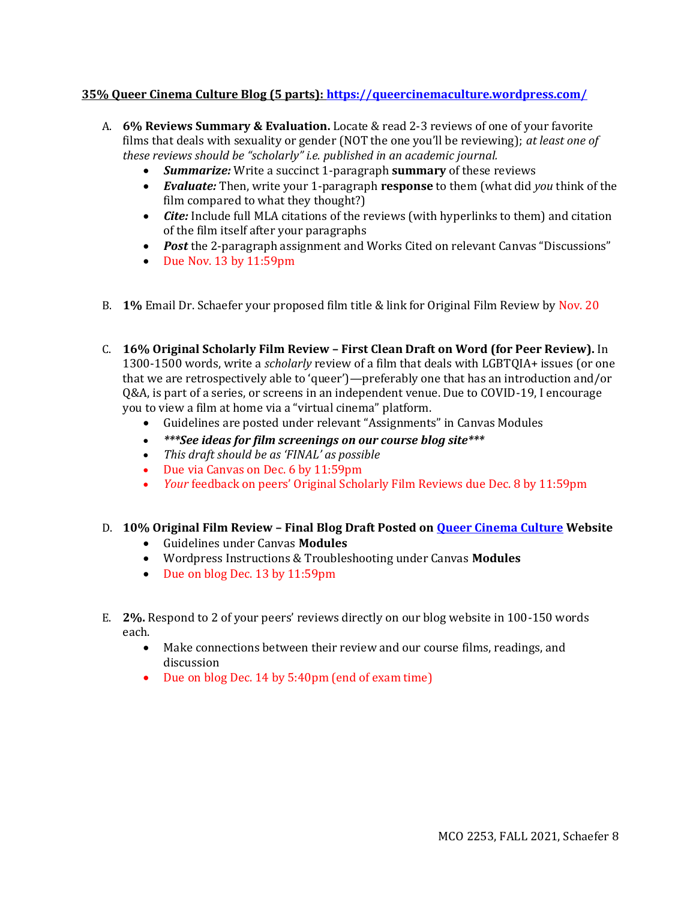## **35% Queer Cinema Culture Blog (5 parts): <https://queercinemaculture.wordpress.com/>**

- A. **6% Reviews Summary & Evaluation.** Locate & read 2-3 reviews of one of your favorite films that deals with sexuality or gender (NOT the one you'll be reviewing); *at least one of these reviews should be "scholarly" i.e. published in an academic journal.* 
	- *Summarize:* Write a succinct 1-paragraph **summary** of these reviews
	- *Evaluate:* Then, write your 1-paragraph **response** to them (what did *you* think of the film compared to what they thought?)
	- *Cite:* Include full MLA citations of the reviews (with hyperlinks to them) and citation of the film itself after your paragraphs
	- *Post* the 2-paragraph assignment and Works Cited on relevant Canvas "Discussions"
	- Due Nov. 13 by 11:59pm
- B. **1%** Email Dr. Schaefer your proposed film title & link for Original Film Review by Nov. 20
- C. **16% Original Scholarly Film Review – First Clean Draft on Word (for Peer Review).** In 1300-1500 words, write a *scholarly* review of a film that deals with LGBTQIA+ issues (or one that we are retrospectively able to 'queer')—preferably one that has an introduction and/or Q&A, is part of a series, or screens in an independent venue. Due to COVID-19, I encourage you to view a film at home via a "virtual cinema" platform.
	- Guidelines are posted under relevant "Assignments" in Canvas Modules
	- *\*\*\*See ideas for film screenings on our course blog site\*\*\**
	- *This draft should be as 'FINAL' as possible*
	- Due via Canvas on Dec. 6 by 11:59pm
	- *Your feedback on peers' Original Scholarly Film Reviews due Dec. 8 by 11:59pm*

## D. **10% Original Film Review – Final Blog Draft Posted on [Queer Cinema Culture](https://queercinemaculture.wordpress.com/) Website**

- Guidelines under Canvas **Modules**
- Wordpress Instructions & Troubleshooting under Canvas **Modules**
- Due on blog Dec. 13 by 11:59pm
- E. **2%.** Respond to 2 of your peers' reviews directly on our blog website in 100-150 words each.
	- Make connections between their review and our course films, readings, and discussion
	- Due on blog Dec. 14 by 5:40pm (end of exam time)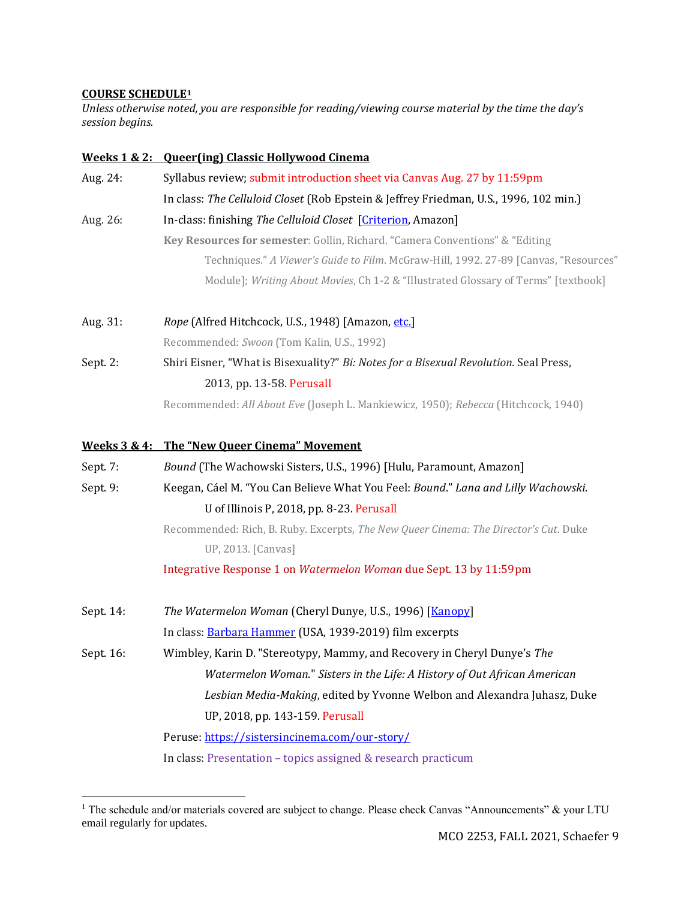### **COURSE SCHEDULE<sup>1</sup>**

*Unless otherwise noted, you are responsible for reading/viewing course material by the time the day's session begins.*

|           | Weeks 1 & 2: Oueer(ing) Classic Hollywood Cinema                                      |
|-----------|---------------------------------------------------------------------------------------|
| Aug. 24:  | Syllabus review; submit introduction sheet via Canvas Aug. 27 by 11:59pm              |
|           | In class: The Celluloid Closet (Rob Epstein & Jeffrey Friedman, U.S., 1996, 102 min.) |
| Aug. 26:  | In-class: finishing The Celluloid Closet [Criterion, Amazon]                          |
|           | Key Resources for semester: Gollin, Richard. "Camera Conventions" & "Editing          |
|           | Techniques." A Viewer's Guide to Film. McGraw-Hill, 1992. 27-89 [Canvas, "Resources"  |
|           | Module]; Writing About Movies, Ch 1-2 & "Illustrated Glossary of Terms" [textbook]    |
| Aug. 31:  | Rope (Alfred Hitchcock, U.S., 1948) [Amazon, etc.]                                    |
|           | Recommended: Swoon (Tom Kalin, U.S., 1992)                                            |
| Sept 2:   | Shiri Eisner, "What is Bisexuality?" Bi: Notes for a Bisexual Revolution. Seal Press, |
|           | 2013, pp. 13-58. Perusall                                                             |
|           | Recommended: All About Eve (Joseph L. Mankiewicz, 1950); Rebecca (Hitchcock, 1940)    |
|           | Weeks 3 & 4: The "New Queer Cinema" Movement                                          |
| Sept 7:   | Bound (The Wachowski Sisters, U.S., 1996) [Hulu, Paramount, Amazon]                   |
| Sept 9:   | Keegan, Cáel M. "You Can Believe What You Feel: Bound." Lana and Lilly Wachowski.     |
|           | U of Illinois P, 2018, pp. 8-23. Perusall                                             |
|           | Recommended: Rich, B. Ruby. Excerpts, The New Queer Cinema: The Director's Cut. Duke  |
|           | UP, 2013. [Canvas]                                                                    |
|           | Integrative Response 1 on Watermelon Woman due Sept. 13 by 11:59pm                    |
| Sept. 14: | The Watermelon Woman (Cheryl Dunye, U.S., 1996) [Kanopy]                              |
|           | In class: Barbara Hammer (USA, 1939-2019) film excerpts                               |
| Sept. 16: | Wimbley, Karin D. "Stereotypy, Mammy, and Recovery in Cheryl Dunye's The              |
|           | Watermelon Woman." Sisters in the Life: A History of Out African American             |
|           | Lesbian Media-Making, edited by Yvonne Welbon and Alexandra Juhasz, Duke              |
|           | UP, 2018, pp. 143-159. Perusall                                                       |
|           | Peruse https://sistersincinema.com/our-story/                                         |
|           | In class: Presentation - topics assigned & research practicum                         |
|           |                                                                                       |

<sup>&</sup>lt;sup>1</sup> The schedule and/or materials covered are subject to change. Please check Canvas "Announcements" & your LTU email regularly for updates.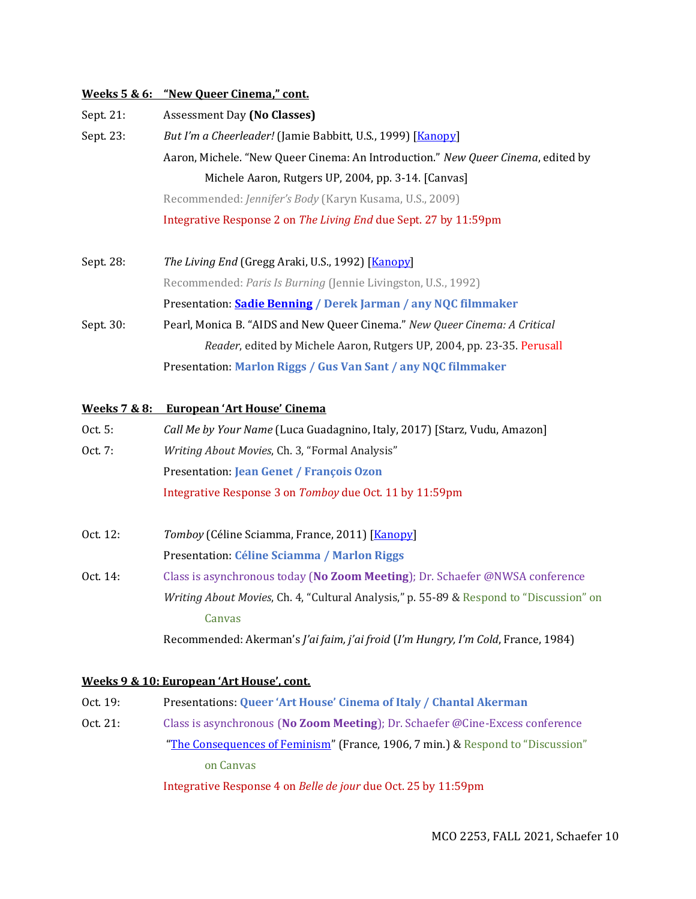#### **Weeks 5 & 6: "New Queer Cinema," cont.**

| Sept. 21: | <b>Assessment Day (No Classes)</b>                                               |
|-----------|----------------------------------------------------------------------------------|
| Sept. 23: | But I'm a Cheerleader! (Jamie Babbitt, U.S., 1999) [Kanopy]                      |
|           | Aaron, Michele. "New Queer Cinema: An Introduction." New Queer Cinema, edited by |
|           | Michele Aaron, Rutgers UP, 2004, pp. 3-14. [Canvas]                              |
|           | Recommended: Jennifer's Body (Karyn Kusama, U.S., 2009)                          |
|           | Integrative Response 2 on The Living End due Sept. 27 by 11:59pm                 |
|           |                                                                                  |

Sept. 28: *The Living End* (Gregg Araki, U.S., 1992) [\[Kanopy\]](https://southfieldlibrary.kanopy.com/video/living-end) Recommended: *Paris Is Burning* (Jennie Livingston, U.S., 1992) Presentation: **[Sadie Benning](https://www.moma.org/artists/34902) / Derek Jarman / any NQC filmmaker** Sept. 30: Pearl, Monica B. "AIDS and New Queer Cinema." *New Queer Cinema: A Critical Reader*, edited by Michele Aaron, Rutgers UP, 2004, pp. 23-35. Perusall Presentation: **Marlon Riggs / Gus Van Sant / any NQC filmmaker**

### **Weeks 7 & 8: European 'Art House' Cinema**

| Oct. 5: | Call Me by Your Name (Luca Guadagnino, Italy, 2017) [Starz, Vudu, Amazon] |
|---------|---------------------------------------------------------------------------|
| Oct. 7: | <i>Writing About Movies, Ch. 3, "Formal Analysis"</i>                     |
|         | <b>Presentation: Jean Genet / François Ozon</b>                           |
|         | Integrative Response 3 on Tomboy due Oct. 11 by 11:59pm                   |

- Oct. 12: *Tomboy* (Céline Sciamma, France, 2011) [**Kanopy**] Presentation: **Céline Sciamma / Marlon Riggs**
- Oct. 14: Class is asynchronous today (**No Zoom Meeting**); Dr. Schaefer @NWSA conference *Writing About Movies*, Ch. 4, "Cultural Analysis," p. 55-89 & Respond to "Discussion" on Canvas Recommended: Akerman's *J'ai faim, j'ai froid* (*I'm Hungry, I'm Cold*, France, 1984)

#### **Weeks 9 & 10: European 'Art House', cont.**

Oct. 19: Presentations: **Queer 'Art House' Cinema of Italy / Chantal Akerman** Oct. 21: Class is asynchronous (**No Zoom Meeting**); Dr. Schaefer @Cine-Excess conference "[The Consequences of Feminism](https://www.youtube.com/watch?v=Iz-lCsOTvds)" (France, 1906, 7 min.) & Respond to "Discussion" on Canvas

Integrative Response 4 on *Belle de jour* due Oct. 25 by 11:59pm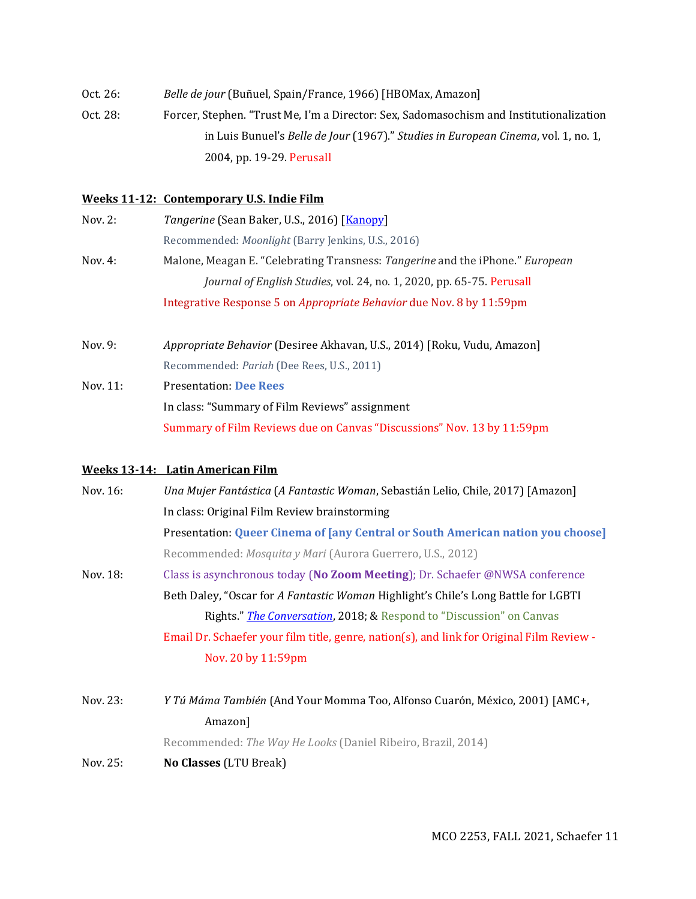| Oct. 26: | Belle de jour (Buñuel, Spain/France, 1966) [HBOMax, Amazon]                             |
|----------|-----------------------------------------------------------------------------------------|
| Oct. 28: | Forcer, Stephen. "Trust Me, I'm a Director: Sex, Sadomasochism and Institutionalization |
|          | in Luis Bunuel's Belle de Jour (1967)." Studies in European Cinema, vol. 1, no. 1,      |
|          | 2004, pp. 19-29. Perusall                                                               |

#### **Weeks 11-12: Contemporary U.S. Indie Film**

| Nov. 2:   | Tangerine (Sean Baker, U.S., 2016) [Kanopy]                                   |
|-----------|-------------------------------------------------------------------------------|
|           | Recommended: <i>Moonlight</i> (Barry Jenkins, U.S., 2016)                     |
| Nov. $4:$ | Malone, Meagan E. "Celebrating Transness: Tangerine and the iPhone." European |
|           | Journal of English Studies, vol. 24, no. 1, 2020, pp. 65-75. Perusall         |
|           | Integrative Response 5 on <i>Appropriate Behavior</i> due Nov. 8 by 11:59pm   |
|           |                                                                               |

Nov. 9: *Appropriate Behavior* (Desiree Akhavan, U.S., 2014) [Roku, Vudu, Amazon] Recommended: *Pariah* (Dee Rees, U.S., 2011) Nov. 11: Presentation: **Dee Rees** In class: "Summary of Film Reviews" assignment

Summary of Film Reviews due on Canvas "Discussions" Nov. 13 by 11:59pm

## **Weeks 13-14: Latin American Film**

| Nov. 16: | Una Mujer Fantástica (A Fantastic Woman, Sebastián Lelio, Chile, 2017) [Amazon]           |
|----------|-------------------------------------------------------------------------------------------|
|          | In class: Original Film Review brainstorming                                              |
|          | Presentation: Queer Cinema of [any Central or South American nation you choose]           |
|          | Recommended: Mosquita y Mari (Aurora Guerrero, U.S., 2012)                                |
| Nov. 18: | Class is asynchronous today (No Zoom Meeting); Dr. Schaefer @NWSA conference              |
|          | Beth Daley, "Oscar for A Fantastic Woman Highlight's Chile's Long Battle for LGBTI        |
|          | Rights." The Conversation, 2018; & Respond to "Discussion" on Canvas                      |
|          | Email Dr. Schaefer your film title, genre, nation(s), and link for Original Film Review - |
|          | Nov. 20 by 11:59pm                                                                        |
| Nov. 23: | Y Tú Máma También (And Your Momma Too, Alfonso Cuarón, México, 2001) [AMC+,               |
|          | Amazon]                                                                                   |
|          | Recommended: The Way He Looks (Daniel Ribeiro, Brazil, 2014)                              |
|          |                                                                                           |

Nov. 25: **No Classes** (LTU Break)